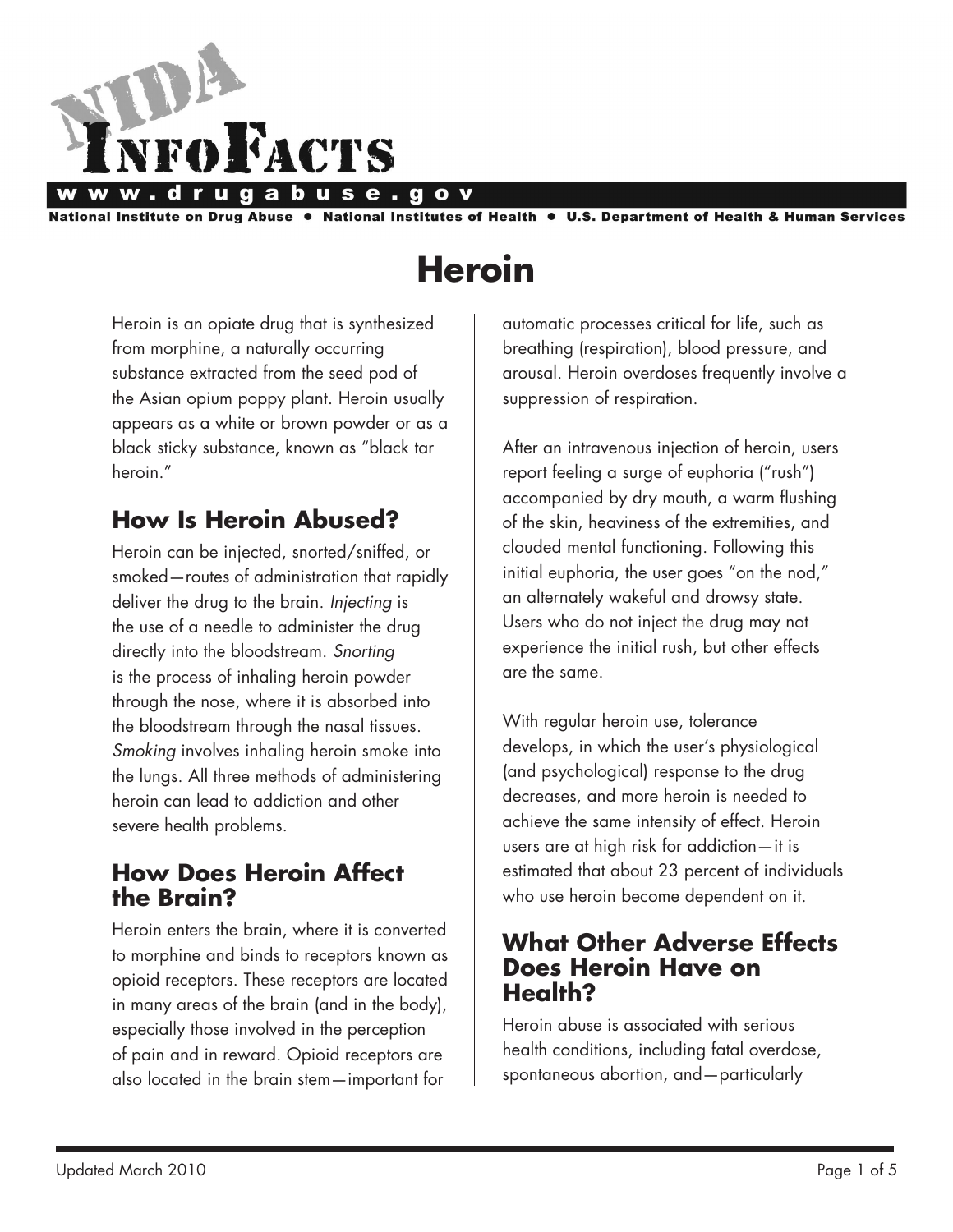

National Institute on Drug Abuse ● National Institutes of Health ● U.S. Department of Health & Human Services

# **Heroin**

Heroin is an opiate drug that is synthesized from morphine, a naturally occurring substance extracted from the seed pod of the Asian opium poppy plant. Heroin usually appears as a white or brown powder or as a black sticky substance, known as "black tar heroin."

## **How Is Heroin Abused?**

Heroin can be injected, snorted/sniffed, or smoked—routes of administration that rapidly deliver the drug to the brain. *Injecting* is the use of a needle to administer the drug directly into the bloodstream. *Snorting* is the process of inhaling heroin powder through the nose, where it is absorbed into the bloodstream through the nasal tissues. *Smoking* involves inhaling heroin smoke into the lungs. All three methods of administering heroin can lead to addiction and other severe health problems.

## **How Does Heroin Affect the Brain?**

Heroin enters the brain, where it is converted to morphine and binds to receptors known as opioid receptors. These receptors are located in many areas of the brain (and in the body), especially those involved in the perception of pain and in reward. Opioid receptors are also located in the brain stem—important for

automatic processes critical for life, such as breathing (respiration), blood pressure, and arousal. Heroin overdoses frequently involve a suppression of respiration.

After an intravenous injection of heroin, users report feeling a surge of euphoria ("rush") accompanied by dry mouth, a warm flushing of the skin, heaviness of the extremities, and clouded mental functioning. Following this initial euphoria, the user goes "on the nod," an alternately wakeful and drowsy state. Users who do not inject the drug may not experience the initial rush, but other effects are the same.

With regular heroin use, tolerance develops, in which the user's physiological (and psychological) response to the drug decreases, and more heroin is needed to achieve the same intensity of effect. Heroin users are at high risk for addiction—it is estimated that about 23 percent of individuals who use heroin become dependent on it.

## **What Other Adverse Effects Does Heroin Have on Health?**

Heroin abuse is associated with serious health conditions, including fatal overdose, spontaneous abortion, and—particularly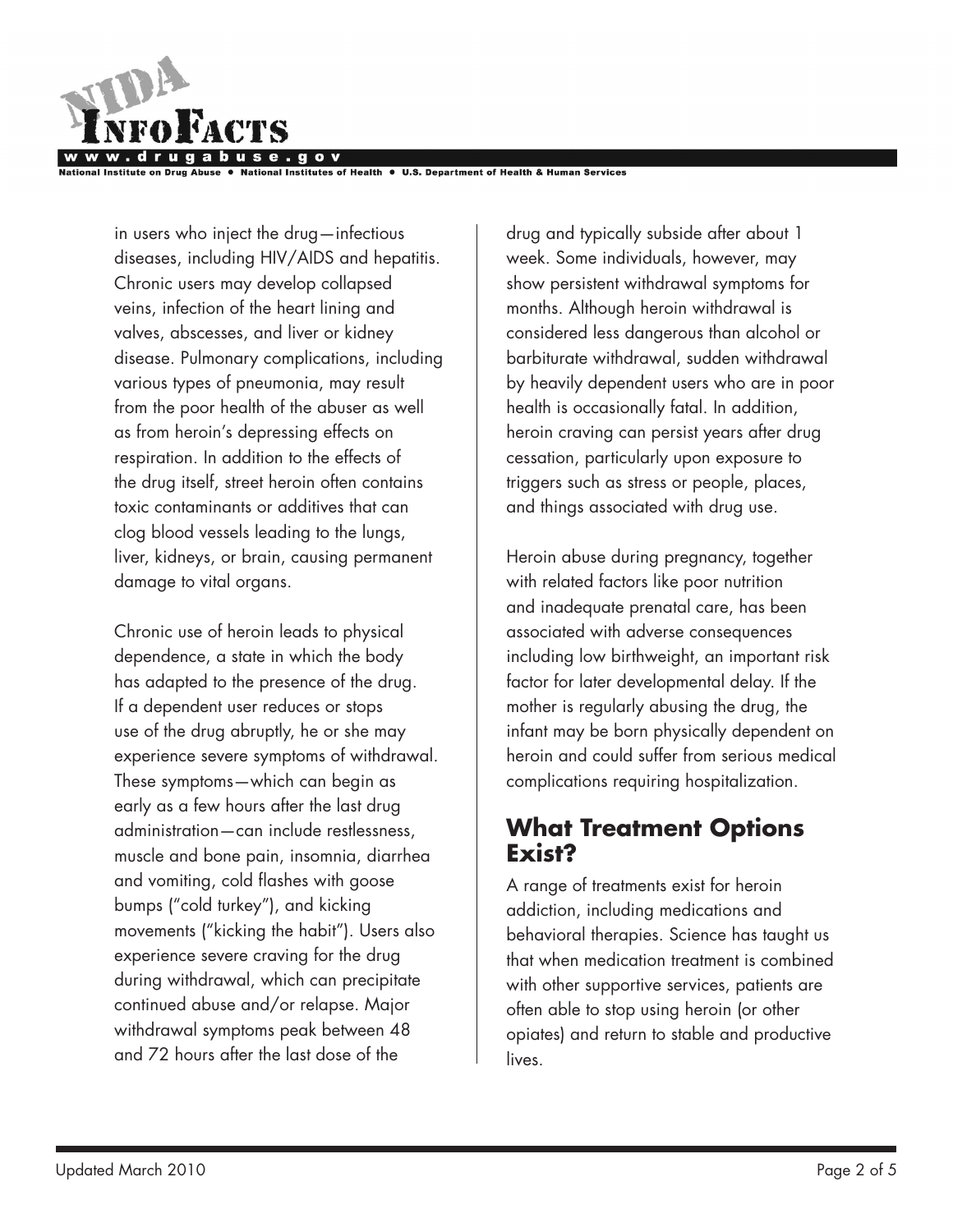

tutes of Health ● U.S. Department of Health & Human Services

in users who inject the drug—infectious diseases, including HIV/AIDS and hepatitis. Chronic users may develop collapsed veins, infection of the heart lining and valves, abscesses, and liver or kidney disease. Pulmonary complications, including various types of pneumonia, may result from the poor health of the abuser as well as from heroin's depressing effects on respiration. In addition to the effects of the drug itself, street heroin often contains toxic contaminants or additives that can clog blood vessels leading to the lungs, liver, kidneys, or brain, causing permanent damage to vital organs.

Chronic use of heroin leads to physical dependence, a state in which the body has adapted to the presence of the drug. If a dependent user reduces or stops use of the drug abruptly, he or she may experience severe symptoms of withdrawal. These symptoms—which can begin as early as a few hours after the last drug administration—can include restlessness, muscle and bone pain, insomnia, diarrhea and vomiting, cold flashes with goose bumps ("cold turkey"), and kicking movements ("kicking the habit"). Users also experience severe craving for the drug during withdrawal, which can precipitate continued abuse and/or relapse. Major withdrawal symptoms peak between 48 and 72 hours after the last dose of the

drug and typically subside after about 1 week. Some individuals, however, may show persistent withdrawal symptoms for months. Although heroin withdrawal is considered less dangerous than alcohol or barbiturate withdrawal, sudden withdrawal by heavily dependent users who are in poor health is occasionally fatal. In addition, heroin craving can persist years after drug cessation, particularly upon exposure to triggers such as stress or people, places, and things associated with drug use.

Heroin abuse during pregnancy, together with related factors like poor nutrition and inadequate prenatal care, has been associated with adverse consequences including low birthweight, an important risk factor for later developmental delay. If the mother is regularly abusing the drug, the infant may be born physically dependent on heroin and could suffer from serious medical complications requiring hospitalization.

## **What Treatment Options Exist?**

A range of treatments exist for heroin addiction, including medications and behavioral therapies. Science has taught us that when medication treatment is combined with other supportive services, patients are often able to stop using heroin (or other opiates) and return to stable and productive lives.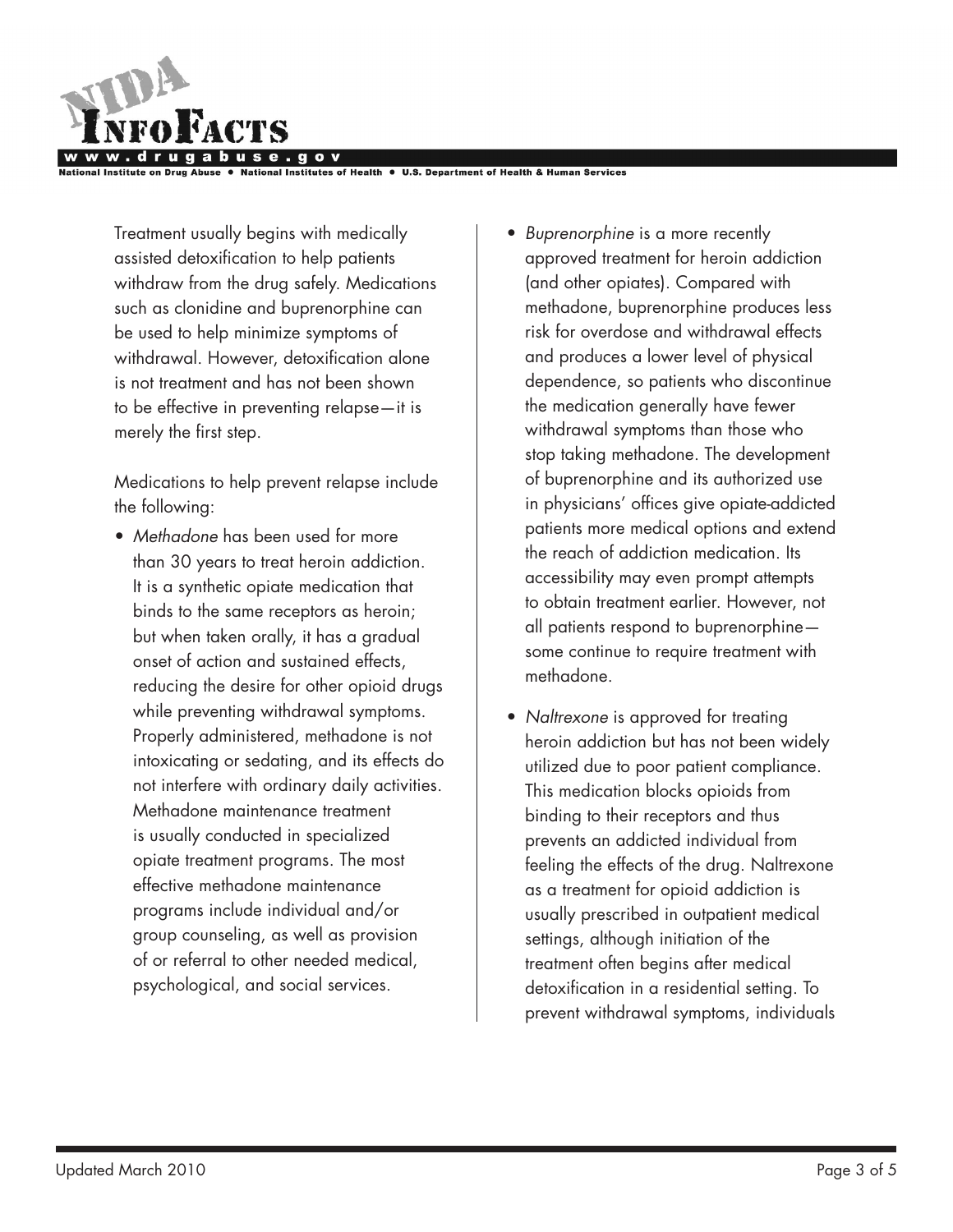

National Institutes of Health . U.S. Department of Health & Human Services

Treatment usually begins with medically assisted detoxification to help patients withdraw from the drug safely. Medications such as clonidine and buprenorphine can be used to help minimize symptoms of withdrawal. However, detoxification alone is not treatment and has not been shown to be effective in preventing relapse—it is merely the first step.

Medications to help prevent relapse include the following:

- • *Methadone* has been used for more than 30 years to treat heroin addiction. It is a synthetic opiate medication that binds to the same receptors as heroin; but when taken orally, it has a gradual onset of action and sustained effects, reducing the desire for other opioid drugs while preventing withdrawal symptoms. Properly administered, methadone is not intoxicating or sedating, and its effects do not interfere with ordinary daily activities. Methadone maintenance treatment is usually conducted in specialized opiate treatment programs. The most effective methadone maintenance programs include individual and/or group counseling, as well as provision of or referral to other needed medical, psychological, and social services.
- • *Buprenorphine* is a more recently approved treatment for heroin addiction (and other opiates). Compared with methadone, buprenorphine produces less risk for overdose and withdrawal effects and produces a lower level of physical dependence, so patients who discontinue the medication generally have fewer withdrawal symptoms than those who stop taking methadone. The development of buprenorphine and its authorized use in physicians' offices give opiate-addicted patients more medical options and extend the reach of addiction medication. Its accessibility may even prompt attempts to obtain treatment earlier. However, not all patients respond to buprenorphine some continue to require treatment with methadone.
- *Naltrexone* is approved for treating heroin addiction but has not been widely utilized due to poor patient compliance. This medication blocks opioids from binding to their receptors and thus prevents an addicted individual from feeling the effects of the drug. Naltrexone as a treatment for opioid addiction is usually prescribed in outpatient medical settings, although initiation of the treatment often begins after medical detoxification in a residential setting. To prevent withdrawal symptoms, individuals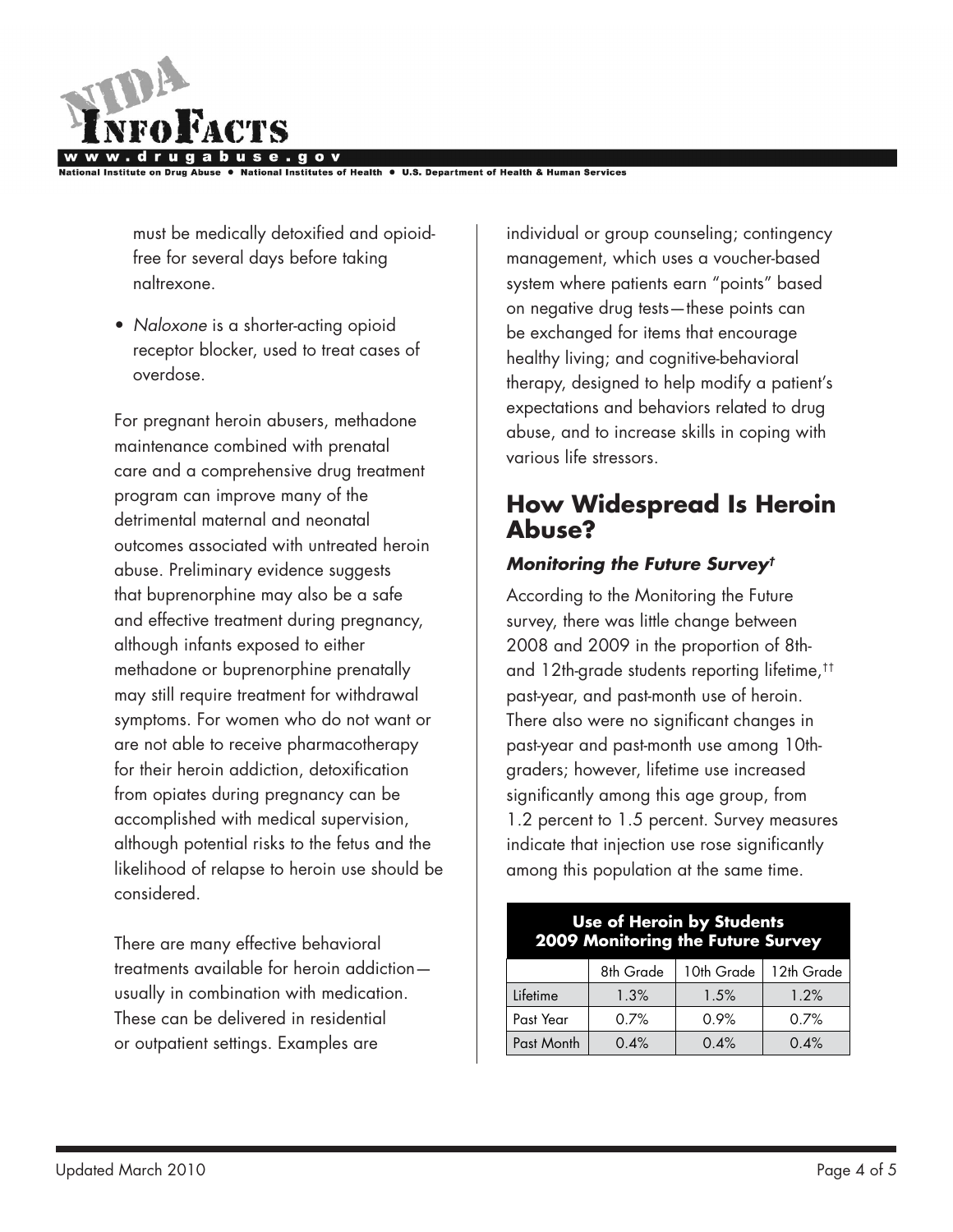

National Institutes of Health . U.S. Department of Health & Human Services

must be medically detoxified and opioidfree for several days before taking naltrexone.

• *Naloxone* is a shorter-acting opioid receptor blocker, used to treat cases of overdose.

For pregnant heroin abusers, methadone maintenance combined with prenatal care and a comprehensive drug treatment program can improve many of the detrimental maternal and neonatal outcomes associated with untreated heroin abuse. Preliminary evidence suggests that buprenorphine may also be a safe and effective treatment during pregnancy, although infants exposed to either methadone or buprenorphine prenatally may still require treatment for withdrawal symptoms. For women who do not want or are not able to receive pharmacotherapy for their heroin addiction, detoxification from opiates during pregnancy can be accomplished with medical supervision, although potential risks to the fetus and the likelihood of relapse to heroin use should be considered.

There are many effective behavioral treatments available for heroin addiction usually in combination with medication. These can be delivered in residential or outpatient settings. Examples are

individual or group counseling; contingency management, which uses a voucher-based system where patients earn "points" based on negative drug tests—these points can be exchanged for items that encourage healthy living; and cognitive-behavioral therapy, designed to help modify a patient's expectations and behaviors related to drug abuse, and to increase skills in coping with various life stressors.

## **How Widespread Is Heroin Abuse?**

#### *Monitoring the Future Survey†*

According to the Monitoring the Future survey, there was little change between 2008 and 2009 in the proportion of 8thand 12th-grade students reporting lifetime,†† past-year, and past-month use of heroin. There also were no significant changes in past-year and past-month use among 10thgraders; however, lifetime use increased significantly among this age group, from 1.2 percent to 1.5 percent. Survey measures indicate that injection use rose significantly among this population at the same time.

#### **Use of Heroin by Students 2009 Monitoring the Future Survey**

|            | 8th Grade | 10th Grade | 12th Grade |
|------------|-----------|------------|------------|
| Lifetime   | 1.3%      | 1.5%       | 1.2%       |
| Past Year  | 0.7%      | 0.9%       | 0.7%       |
| Past Month | 0.4%      | 0.4%       | 0.4%       |